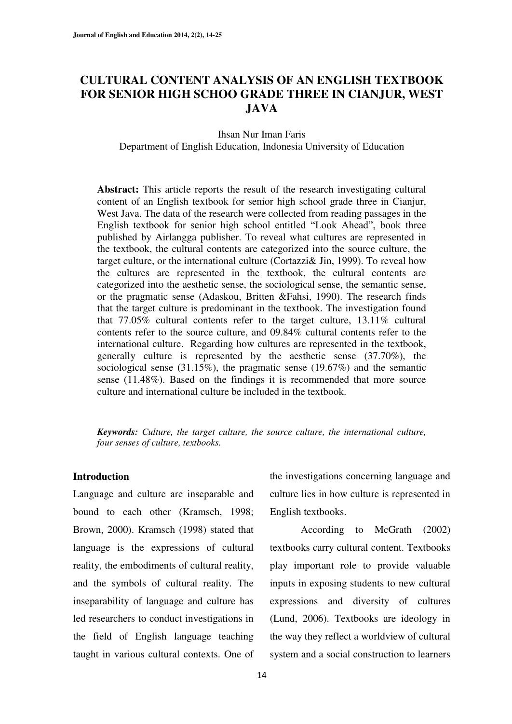## **CULTURAL CONTENT ANALYSIS OF AN ENGLISH TEXTBOOK FOR SENIOR HIGH SCHOO GRADE THREE IN CIANJUR, WEST JAVA**

Ihsan Nur Iman Faris Department of English Education, Indonesia University of Education

**Abstract:** This article reports the result of the research investigating cultural content of an English textbook for senior high school grade three in Cianjur, West Java. The data of the research were collected from reading passages in the English textbook for senior high school entitled "Look Ahead", book three published by Airlangga publisher. To reveal what cultures are represented in the textbook, the cultural contents are categorized into the source culture, the target culture, or the international culture (Cortazzi& Jin, 1999). To reveal how the cultures are represented in the textbook, the cultural contents are categorized into the aesthetic sense, the sociological sense, the semantic sense, or the pragmatic sense (Adaskou, Britten &Fahsi, 1990). The research finds that the target culture is predominant in the textbook. The investigation found that 77.05% cultural contents refer to the target culture, 13.11% cultural contents refer to the source culture, and 09.84% cultural contents refer to the international culture. Regarding how cultures are represented in the textbook, generally culture is represented by the aesthetic sense (37.70%), the sociological sense (31.15%), the pragmatic sense (19.67%) and the semantic sense (11.48%). Based on the findings it is recommended that more source culture and international culture be included in the textbook.

*Keywords: Culture, the target culture, the source culture, the international culture, four senses of culture, textbooks.* 

#### **Introduction**

Language and culture are inseparable and bound to each other (Kramsch, 1998; Brown, 2000). Kramsch (1998) stated that language is the expressions of cultural reality, the embodiments of cultural reality, and the symbols of cultural reality. The inseparability of language and culture has led researchers to conduct investigations in the field of English language teaching taught in various cultural contexts. One of the investigations concerning language and culture lies in how culture is represented in English textbooks.

 According to McGrath (2002) textbooks carry cultural content. Textbooks play important role to provide valuable inputs in exposing students to new cultural expressions and diversity of cultures (Lund, 2006). Textbooks are ideology in the way they reflect a worldview of cultural system and a social construction to learners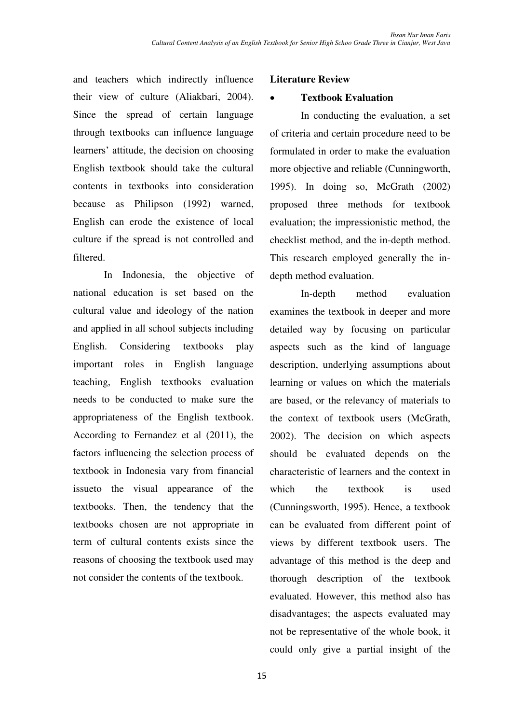and teachers which indirectly influence their view of culture (Aliakbari, 2004). Since the spread of certain language through textbooks can influence language learners' attitude, the decision on choosing English textbook should take the cultural contents in textbooks into consideration because as Philipson (1992) warned, English can erode the existence of local culture if the spread is not controlled and filtered.

 In Indonesia, the objective of national education is set based on the cultural value and ideology of the nation and applied in all school subjects including English. Considering textbooks play important roles in English language teaching, English textbooks evaluation needs to be conducted to make sure the appropriateness of the English textbook. According to Fernandez et al (2011), the factors influencing the selection process of textbook in Indonesia vary from financial issueto the visual appearance of the textbooks. Then, the tendency that the textbooks chosen are not appropriate in term of cultural contents exists since the reasons of choosing the textbook used may not consider the contents of the textbook.

### **Literature Review**

### **Textbook Evaluation**

 In conducting the evaluation, a set of criteria and certain procedure need to be formulated in order to make the evaluation more objective and reliable (Cunningworth, 1995). In doing so, McGrath (2002) proposed three methods for textbook evaluation; the impressionistic method, the checklist method, and the in-depth method. This research employed generally the indepth method evaluation.

 In-depth method evaluation examines the textbook in deeper and more detailed way by focusing on particular aspects such as the kind of language description, underlying assumptions about learning or values on which the materials are based, or the relevancy of materials to the context of textbook users (McGrath, 2002). The decision on which aspects should be evaluated depends on the characteristic of learners and the context in which the textbook is used (Cunningsworth, 1995). Hence, a textbook can be evaluated from different point of views by different textbook users. The advantage of this method is the deep and thorough description of the textbook evaluated. However, this method also has disadvantages; the aspects evaluated may not be representative of the whole book, it could only give a partial insight of the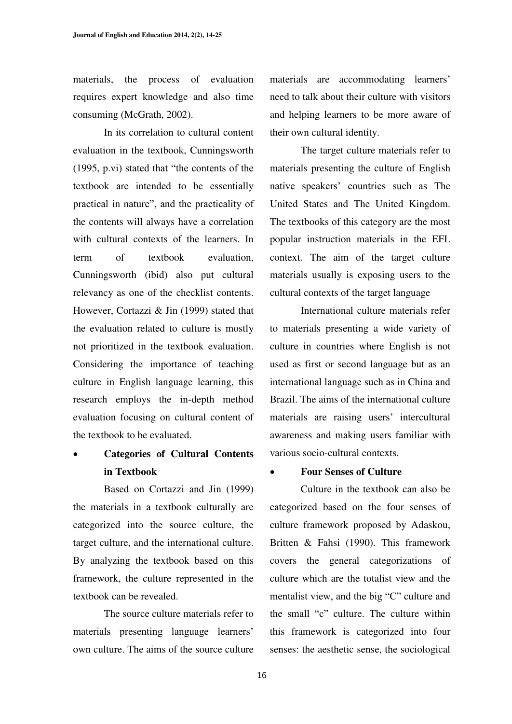materials, the process of evaluation requires expert knowledge and also time consuming (McGrath, 2002).

 In its correlation to cultural content evaluation in the textbook, Cunningsworth  $(1995, p.vi)$  stated that "the contents of the textbook are intended to be essentially practical in nature", and the practicality of the contents will always have a correlation with cultural contexts of the learners. In term of textbook evaluation, Cunningsworth (ibid) also put cultural relevancy as one of the checklist contents. However, Cortazzi & Jin (1999) stated that the evaluation related to culture is mostly not prioritized in the textbook evaluation. Considering the importance of teaching culture in English language learning, this research employs the in-depth method evaluation focusing on cultural content of the textbook to be evaluated.

# x **Categories of Cultural Contents in Textbook**

 Based on Cortazzi and Jin (1999) the materials in a textbook culturally are categorized into the source culture, the target culture, and the international culture. By analyzing the textbook based on this framework, the culture represented in the textbook can be revealed.

 The source culture materials refer to materials presenting language learners' own culture. The aims of the source culture materials are accommodating learners' need to talk about their culture with visitors and helping learners to be more aware of their own cultural identity.

 The target culture materials refer to materials presenting the culture of English native speakers' countries such as The United States and The United Kingdom. The textbooks of this category are the most popular instruction materials in the EFL context. The aim of the target culture materials usually is exposing users to the cultural contexts of the target language

 International culture materials refer to materials presenting a wide variety of culture in countries where English is not used as first or second language but as an international language such as in China and Brazil. The aims of the international culture materials are raising users' intercultural awareness and making users familiar with various socio-cultural contexts.

#### x **Four Senses of Culture**

 Culture in the textbook can also be categorized based on the four senses of culture framework proposed by Adaskou, Britten & Fahsi (1990). This framework covers the general categorizations of culture which are the totalist view and the mentalist view, and the big "C" culture and the small "c" culture. The culture within this framework is categorized into four senses: the aesthetic sense, the sociological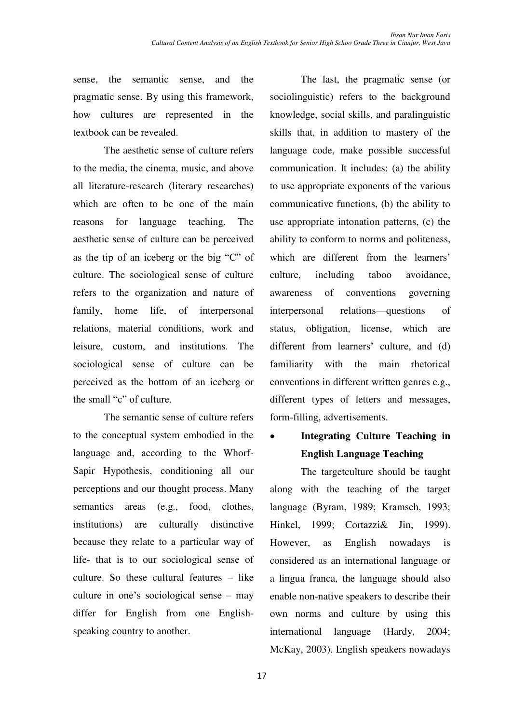sense, the semantic sense, and the pragmatic sense. By using this framework, how cultures are represented in the textbook can be revealed.

 The aesthetic sense of culture refers to the media, the cinema, music, and above all literature-research (literary researches) which are often to be one of the main reasons for language teaching. The aesthetic sense of culture can be perceived as the tip of an iceberg or the big " $C$ " of culture. The sociological sense of culture refers to the organization and nature of family, home life, of interpersonal relations, material conditions, work and leisure, custom, and institutions. The sociological sense of culture can be perceived as the bottom of an iceberg or the small "c" of culture.

 The semantic sense of culture refers to the conceptual system embodied in the language and, according to the Whorf-Sapir Hypothesis, conditioning all our perceptions and our thought process. Many semantics areas (e.g., food, clothes, institutions) are culturally distinctive because they relate to a particular way of life- that is to our sociological sense of culture. So these cultural features  $-$  like culture in one's sociological sense  $-$  may differ for English from one Englishspeaking country to another.

 The last, the pragmatic sense (or sociolinguistic) refers to the background knowledge, social skills, and paralinguistic skills that, in addition to mastery of the language code, make possible successful communication. It includes: (a) the ability to use appropriate exponents of the various communicative functions, (b) the ability to use appropriate intonation patterns, (c) the ability to conform to norms and politeness, which are different from the learners' culture, including taboo avoidance, awareness of conventions governing interpersonal relations—questions of status, obligation, license, which are different from learners' culture, and (d) familiarity with the main rhetorical conventions in different written genres e.g., different types of letters and messages, form-filling, advertisements.

# x **Integrating Culture Teaching in English Language Teaching**

The targetculture should be taught along with the teaching of the target language (Byram, 1989; Kramsch, 1993; Hinkel, 1999; Cortazzi& Jin, 1999). However, as English nowadays is considered as an international language or a lingua franca, the language should also enable non-native speakers to describe their own norms and culture by using this international language (Hardy, 2004; McKay, 2003). English speakers nowadays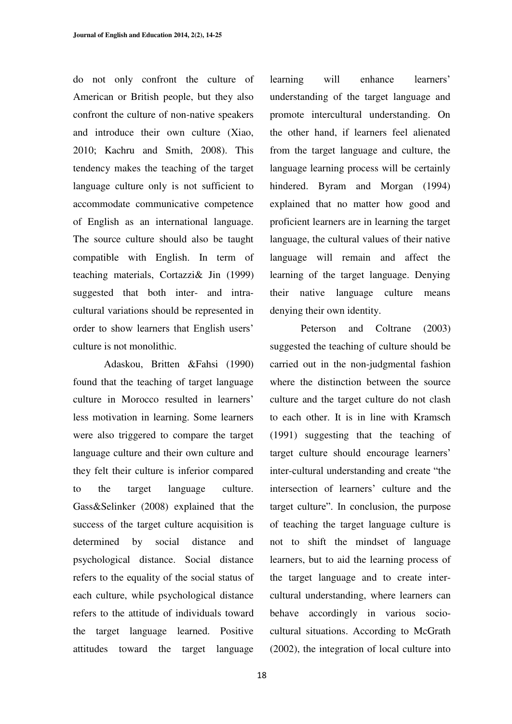do not only confront the culture of American or British people, but they also confront the culture of non-native speakers and introduce their own culture (Xiao, 2010; Kachru and Smith, 2008). This tendency makes the teaching of the target language culture only is not sufficient to accommodate communicative competence of English as an international language. The source culture should also be taught compatible with English. In term of teaching materials, Cortazzi& Jin (1999) suggested that both inter- and intracultural variations should be represented in order to show learners that English users' culture is not monolithic.

 Adaskou, Britten &Fahsi (1990) found that the teaching of target language culture in Morocco resulted in learners' less motivation in learning. Some learners were also triggered to compare the target language culture and their own culture and they felt their culture is inferior compared to the target language culture. Gass&Selinker (2008) explained that the success of the target culture acquisition is determined by social distance and psychological distance. Social distance refers to the equality of the social status of each culture, while psychological distance refers to the attitude of individuals toward the target language learned. Positive attitudes toward the target language

learning will enhance learners' understanding of the target language and promote intercultural understanding. On the other hand, if learners feel alienated from the target language and culture, the language learning process will be certainly hindered. Byram and Morgan (1994) explained that no matter how good and proficient learners are in learning the target language, the cultural values of their native language will remain and affect the learning of the target language. Denying their native language culture means denying their own identity.

Peterson and Coltrane (2003) suggested the teaching of culture should be carried out in the non-judgmental fashion where the distinction between the source culture and the target culture do not clash to each other. It is in line with Kramsch (1991) suggesting that the teaching of target culture should encourage learners' inter-cultural understanding and create "the intersection of learners' culture and the target culture". In conclusion, the purpose of teaching the target language culture is not to shift the mindset of language learners, but to aid the learning process of the target language and to create intercultural understanding, where learners can behave accordingly in various sociocultural situations. According to McGrath (2002), the integration of local culture into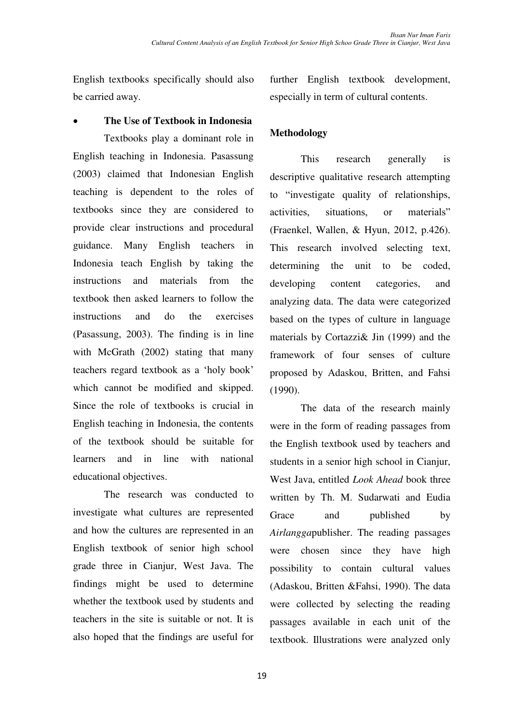English textbooks specifically should also be carried away.

### x **The Use of Textbook in Indonesia**

 Textbooks play a dominant role in English teaching in Indonesia. Pasassung (2003) claimed that Indonesian English teaching is dependent to the roles of textbooks since they are considered to provide clear instructions and procedural guidance. Many English teachers in Indonesia teach English by taking the instructions and materials from the textbook then asked learners to follow the instructions and do the exercises (Pasassung, 2003). The finding is in line with McGrath (2002) stating that many teachers regard textbook as a 'holy book' which cannot be modified and skipped. Since the role of textbooks is crucial in English teaching in Indonesia, the contents of the textbook should be suitable for learners and in line with national educational objectives.

 The research was conducted to investigate what cultures are represented and how the cultures are represented in an English textbook of senior high school grade three in Cianjur, West Java. The findings might be used to determine whether the textbook used by students and teachers in the site is suitable or not. It is also hoped that the findings are useful for

further English textbook development, especially in term of cultural contents.

## **Methodology**

 This research generally is descriptive qualitative research attempting to "investigate quality of relationships, activities, situations, or materials" (Fraenkel, Wallen, & Hyun, 2012, p.426). This research involved selecting text, determining the unit to be coded, developing content categories, and analyzing data. The data were categorized based on the types of culture in language materials by Cortazzi& Jin (1999) and the framework of four senses of culture proposed by Adaskou, Britten, and Fahsi (1990).

 The data of the research mainly were in the form of reading passages from the English textbook used by teachers and students in a senior high school in Cianjur, West Java, entitled *Look Ahead* book three written by Th. M. Sudarwati and Eudia Grace and published by *Airlangga*publisher. The reading passages were chosen since they have high possibility to contain cultural values (Adaskou, Britten &Fahsi, 1990). The data were collected by selecting the reading passages available in each unit of the textbook. Illustrations were analyzed only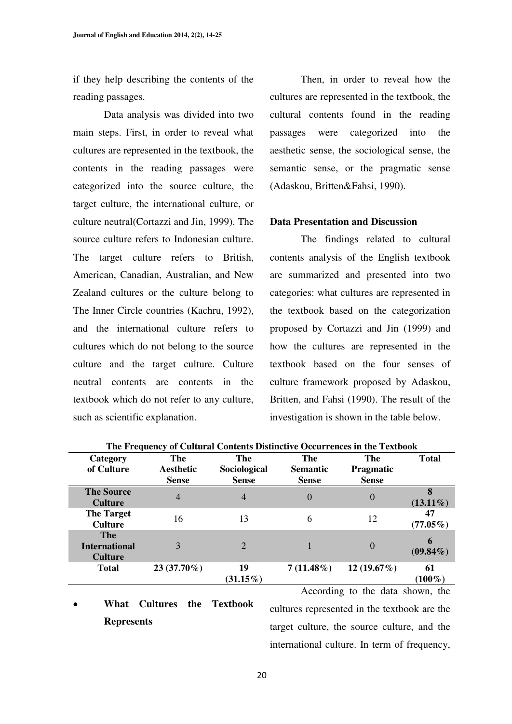if they help describing the contents of the reading passages.

 Data analysis was divided into two main steps. First, in order to reveal what cultures are represented in the textbook, the contents in the reading passages were categorized into the source culture, the target culture, the international culture, or culture neutral(Cortazzi and Jin, 1999). The source culture refers to Indonesian culture. The target culture refers to British, American, Canadian, Australian, and New Zealand cultures or the culture belong to The Inner Circle countries (Kachru, 1992), and the international culture refers to cultures which do not belong to the source culture and the target culture. Culture neutral contents are contents in the textbook which do not refer to any culture, such as scientific explanation.

 Then, in order to reveal how the cultures are represented in the textbook, the cultural contents found in the reading passages were categorized into the aesthetic sense, the sociological sense, the semantic sense, or the pragmatic sense (Adaskou, Britten&Fahsi, 1990).

#### **Data Presentation and Discussion**

 The findings related to cultural contents analysis of the English textbook are summarized and presented into two categories: what cultures are represented in the textbook based on the categorization proposed by Cortazzi and Jin (1999) and how the cultures are represented in the textbook based on the four senses of culture framework proposed by Adaskou, Britten, and Fahsi (1990). The result of the investigation is shown in the table below.

| Category<br>of Culture                               | The<br>Aesthetic<br><b>Sense</b> | The<br>Sociological<br><b>Sense</b> | The<br><b>Semantic</b><br><b>Sense</b> | The<br><b>Pragmatic</b><br><b>Sense</b> | <b>Total</b>      |
|------------------------------------------------------|----------------------------------|-------------------------------------|----------------------------------------|-----------------------------------------|-------------------|
| <b>The Source</b><br><b>Culture</b>                  | 4                                | $\overline{4}$                      | $\theta$                               | $\theta$                                | $(13.11\%)$       |
| <b>The Target</b><br><b>Culture</b>                  | 16                               | 13                                  | 6                                      | 12                                      | 47<br>$(77.05\%)$ |
| <b>The</b><br><b>International</b><br><b>Culture</b> | 3                                | 2                                   |                                        | $\theta$                                | 6<br>$(09.84\%)$  |
| <b>Total</b>                                         | $23(37.70\%)$                    | 19<br>$(31.15\%)$                   | $7(11.48\%)$                           | $12(19.67\%)$                           | 61<br>$(100\%)$   |

**The Frequency of Cultural Contents Distinctive Occurrences in the Textbook** 

## x **What Cultures the Textbook Represents**

 According to the data shown, the cultures represented in the textbook are the target culture, the source culture, and the international culture. In term of frequency,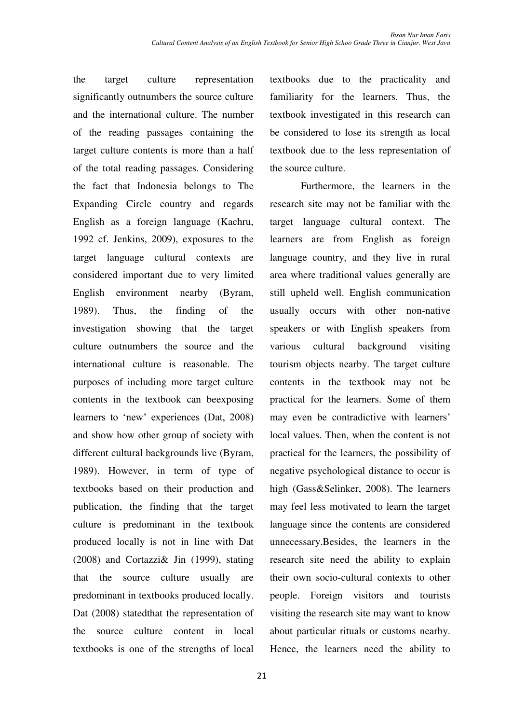the target culture representation significantly outnumbers the source culture and the international culture. The number of the reading passages containing the target culture contents is more than a half of the total reading passages. Considering the fact that Indonesia belongs to The Expanding Circle country and regards English as a foreign language (Kachru, 1992 cf. Jenkins, 2009), exposures to the target language cultural contexts are considered important due to very limited English environment nearby (Byram, 1989). Thus, the finding of the investigation showing that the target culture outnumbers the source and the international culture is reasonable. The purposes of including more target culture contents in the textbook can beexposing learners to 'new' experiences (Dat, 2008) and show how other group of society with different cultural backgrounds live (Byram, 1989). However, in term of type of textbooks based on their production and publication, the finding that the target culture is predominant in the textbook produced locally is not in line with Dat (2008) and Cortazzi& Jin (1999), stating that the source culture usually are predominant in textbooks produced locally. Dat (2008) statedthat the representation of the source culture content in local textbooks is one of the strengths of local

textbooks due to the practicality and familiarity for the learners. Thus, the textbook investigated in this research can be considered to lose its strength as local textbook due to the less representation of the source culture.

 Furthermore, the learners in the research site may not be familiar with the target language cultural context. The learners are from English as foreign language country, and they live in rural area where traditional values generally are still upheld well. English communication usually occurs with other non-native speakers or with English speakers from various cultural background visiting tourism objects nearby. The target culture contents in the textbook may not be practical for the learners. Some of them may even be contradictive with learners' local values. Then, when the content is not practical for the learners, the possibility of negative psychological distance to occur is high (Gass&Selinker, 2008). The learners may feel less motivated to learn the target language since the contents are considered unnecessary.Besides, the learners in the research site need the ability to explain their own socio-cultural contexts to other people. Foreign visitors and tourists visiting the research site may want to know about particular rituals or customs nearby. Hence, the learners need the ability to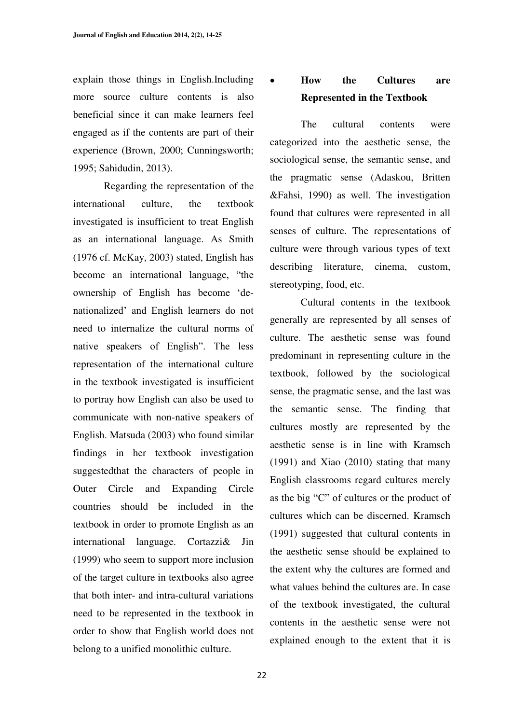explain those things in English.Including more source culture contents is also beneficial since it can make learners feel engaged as if the contents are part of their experience (Brown, 2000; Cunningsworth; 1995; Sahidudin, 2013).

 Regarding the representation of the international culture, the textbook investigated is insufficient to treat English as an international language. As Smith (1976 cf. McKay, 2003) stated, English has become an international language, "the ownership of English has become 'denationalized' and English learners do not need to internalize the cultural norms of native speakers of English". The less representation of the international culture in the textbook investigated is insufficient to portray how English can also be used to communicate with non-native speakers of English. Matsuda (2003) who found similar findings in her textbook investigation suggestedthat the characters of people in Outer Circle and Expanding Circle countries should be included in the textbook in order to promote English as an international language. Cortazzi& Jin (1999) who seem to support more inclusion of the target culture in textbooks also agree that both inter- and intra-cultural variations need to be represented in the textbook in order to show that English world does not belong to a unified monolithic culture.

## x **How the Cultures are Represented in the Textbook**

 The cultural contents were categorized into the aesthetic sense, the sociological sense, the semantic sense, and the pragmatic sense (Adaskou, Britten &Fahsi, 1990) as well. The investigation found that cultures were represented in all senses of culture. The representations of culture were through various types of text describing literature, cinema, custom, stereotyping, food, etc.

 Cultural contents in the textbook generally are represented by all senses of culture. The aesthetic sense was found predominant in representing culture in the textbook, followed by the sociological sense, the pragmatic sense, and the last was the semantic sense. The finding that cultures mostly are represented by the aesthetic sense is in line with Kramsch (1991) and Xiao (2010) stating that many English classrooms regard cultures merely as the big " $C$ " of cultures or the product of cultures which can be discerned. Kramsch (1991) suggested that cultural contents in the aesthetic sense should be explained to the extent why the cultures are formed and what values behind the cultures are. In case of the textbook investigated, the cultural contents in the aesthetic sense were not explained enough to the extent that it is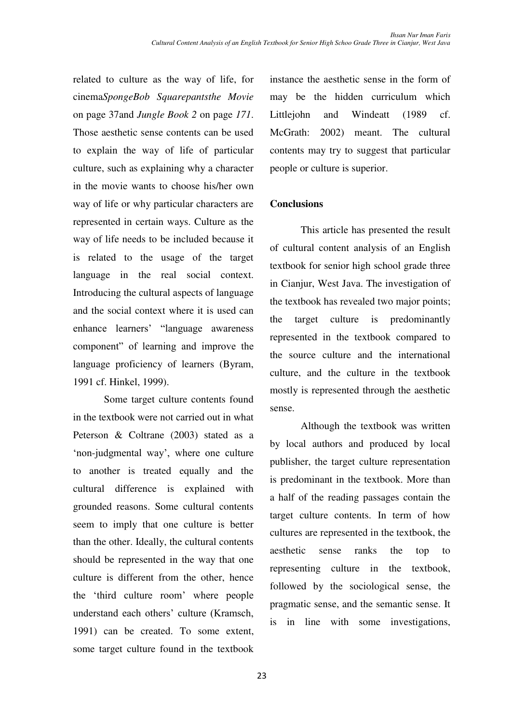related to culture as the way of life, for instance the aesthetic sense in the form of cinema*SpongeBob Squarepantsthe Movie* on page 37and *Jungle Book 2* on page *171*. Those aesthetic sense contents can be used to explain the way of life of particular culture, such as explaining why a character in the movie wants to choose his/her own way of life or why particular characters are represented in certain ways. Culture as the way of life needs to be included because it is related to the usage of the target language in the real social context. Introducing the cultural aspects of language and the social context where it is used can enhance learners' "language awareness component" of learning and improve the language proficiency of learners (Byram, 1991 cf. Hinkel, 1999).

 Some target culture contents found in the textbook were not carried out in what Peterson & Coltrane (2003) stated as a 'non-judgmental way', where one culture to another is treated equally and the cultural difference is explained with grounded reasons. Some cultural contents seem to imply that one culture is better than the other. Ideally, the cultural contents should be represented in the way that one culture is different from the other, hence the 'third culture room' where people understand each others' culture (Kramsch, 1991) can be created. To some extent, some target culture found in the textbook may be the hidden curriculum which Littlejohn and Windeatt (1989 cf. McGrath: 2002) meant. The cultural contents may try to suggest that particular people or culture is superior.

## **Conclusions**

 This article has presented the result of cultural content analysis of an English textbook for senior high school grade three in Cianjur, West Java. The investigation of the textbook has revealed two major points; the target culture is predominantly represented in the textbook compared to the source culture and the international culture, and the culture in the textbook mostly is represented through the aesthetic sense.

 Although the textbook was written by local authors and produced by local publisher, the target culture representation is predominant in the textbook. More than a half of the reading passages contain the target culture contents. In term of how cultures are represented in the textbook, the aesthetic sense ranks the top to representing culture in the textbook, followed by the sociological sense, the pragmatic sense, and the semantic sense. It is in line with some investigations,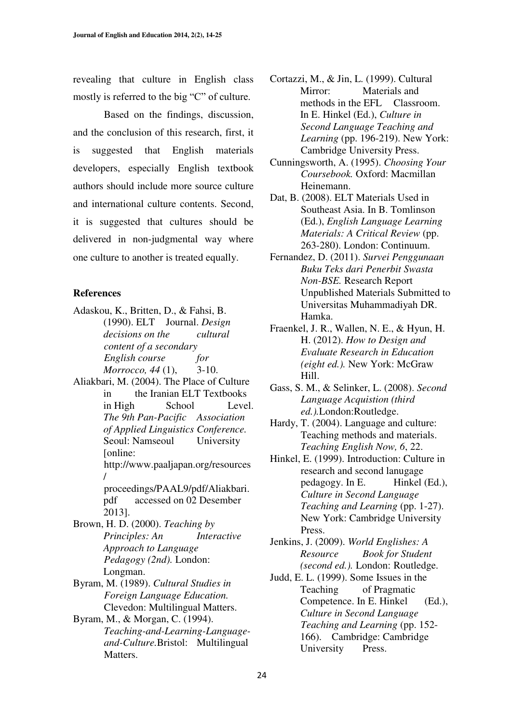revealing that culture in English class mostly is referred to the big "C" of culture.

 Based on the findings, discussion, and the conclusion of this research, first, it is suggested that English materials developers, especially English textbook authors should include more source culture and international culture contents. Second, it is suggested that cultures should be delivered in non-judgmental way where one culture to another is treated equally.

#### **References**

- Adaskou, K., Britten, D., & Fahsi, B. (1990). ELT Journal. *Design decisions on the cultural content of a secondary English course for Morrocco, 44* (1), 3-10.
- Aliakbari, M. (2004). The Place of Culture in the Iranian ELT Textbooks in High School Level. *The 9th Pan-Pacific Association of Applied Linguistics Conference.* Seoul: Namseoul University [online: http://www.paaljapan.org/resources / proceedings/PAAL9/pdf/Aliakbari. pdf accessed on 02 Desember 2013]. Brown, H. D. (2000). *Teaching by Principles: An Interactive Approach to Language Pedagogy (2nd).* London: Longman. Byram, M. (1989). *Cultural Studies in Foreign Language Education.* Clevedon: Multilingual Matters.
- Byram, M., & Morgan, C. (1994). *Teaching-and-Learning-Languageand-Culture.*Bristol: Multilingual Matters.
- Cortazzi, M., & Jin, L. (1999). Cultural Mirror: Materials and methods in the EFL Classroom. In E. Hinkel (Ed.), *Culture in Second Language Teaching and Learning* (pp. 196-219). New York: Cambridge University Press.
- Cunningsworth, A. (1995). *Choosing Your Coursebook.* Oxford: Macmillan Heinemann.
- Dat, B. (2008). ELT Materials Used in Southeast Asia. In B. Tomlinson (Ed.), *English Language Learning Materials: A Critical Review* (pp. 263-280). London: Continuum.
- Fernandez, D. (2011). *Survei Penggunaan Buku Teks dari Penerbit Swasta Non-BSE.* Research Report Unpublished Materials Submitted to Universitas Muhammadiyah DR. Hamka.
- Fraenkel, J. R., Wallen, N. E., & Hyun, H. H. (2012). *How to Design and Evaluate Research in Education (eight ed.).* New York: McGraw Hill.
- Gass, S. M., & Selinker, L. (2008). *Second Language Acquistion (third ed.).*London:Routledge.
- Hardy, T. (2004). Language and culture: Teaching methods and materials. *Teaching English Now, 6*, 22.
- Hinkel, E. (1999). Introduction: Culture in research and second lanugage pedagogy. In E. Hinkel (Ed.), *Culture in Second Language Teaching and Learning* (pp. 1-27). New York: Cambridge University Press.
- Jenkins, J. (2009). *World Englishes: A Resource Book for Student (second ed.).* London: Routledge.
- Judd, E. L. (1999). Some Issues in the Teaching of Pragmatic Competence. In E. Hinkel (Ed.), *Culture in Second Language Teaching and Learning* (pp. 152- 166). Cambridge: Cambridge University Press.